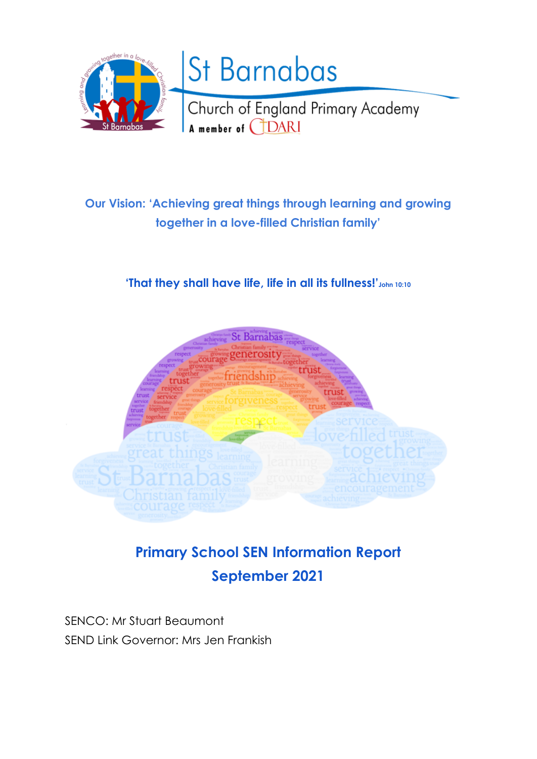

# **Our Vision: 'Achieving great things through learning and growing together in a love-filled Christian family'**

## **'That they shall have life, life in all its fullness!'John 10:10**



# **Primary School SEN Information Report September 2021**

SENCO: Mr Stuart Beaumont SEND Link Governor: Mrs Jen Frankish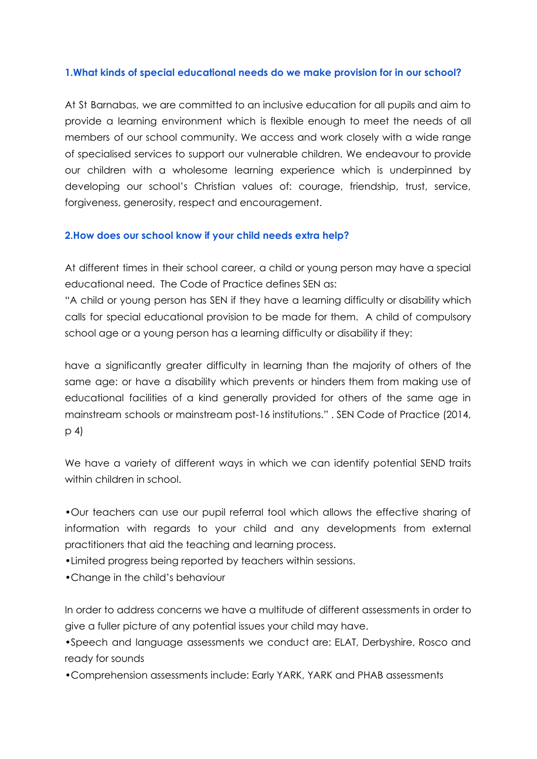#### **1.What kinds of special educational needs do we make provision for in our school?**

At St Barnabas, we are committed to an inclusive education for all pupils and aim to provide a learning environment which is flexible enough to meet the needs of all members of our school community. We access and work closely with a wide range of specialised services to support our vulnerable children. We endeavour to provide our children with a wholesome learning experience which is underpinned by developing our school's Christian values of: courage, friendship, trust, service, forgiveness, generosity, respect and encouragement.

#### **2.How does our school know if your child needs extra help?**

At different times in their school career, a child or young person may have a special educational need. The Code of Practice defines SEN as:

"A child or young person has SEN if they have a learning difficulty or disability which calls for special educational provision to be made for them. A child of compulsory school age or a young person has a learning difficulty or disability if they:

have a significantly greater difficulty in learning than the majority of others of the same age: or have a disability which prevents or hinders them from making use of educational facilities of a kind generally provided for others of the same age in mainstream schools or mainstream post-16 institutions." . SEN Code of Practice (2014, p 4)

We have a variety of different ways in which we can identify potential SEND traits within children in school.

•Our teachers can use our pupil referral tool which allows the effective sharing of information with regards to your child and any developments from external practitioners that aid the teaching and learning process.

•Limited progress being reported by teachers within sessions.

•Change in the child's behaviour

In order to address concerns we have a multitude of different assessments in order to give a fuller picture of any potential issues your child may have.

•Speech and language assessments we conduct are: ELAT, Derbyshire, Rosco and ready for sounds

•Comprehension assessments include: Early YARK, YARK and PHAB assessments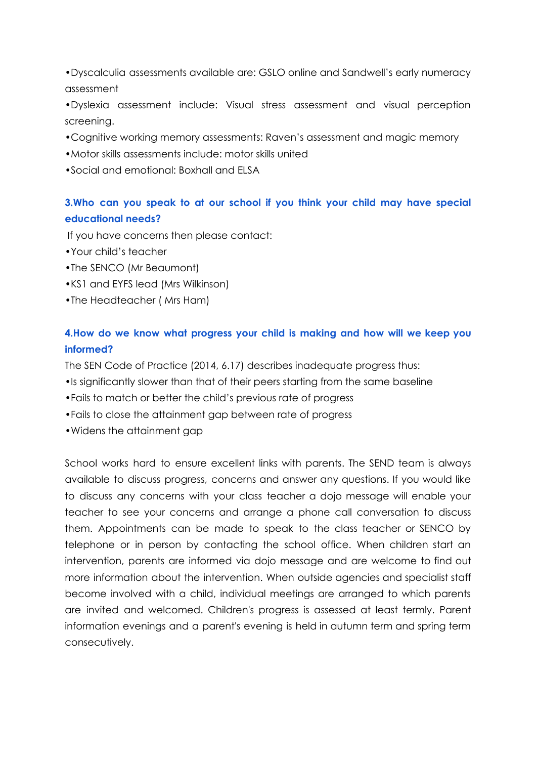•Dyscalculia assessments available are: GSLO online and Sandwell's early numeracy assessment

•Dyslexia assessment include: Visual stress assessment and visual perception screening.

- •Cognitive working memory assessments: Raven's assessment and magic memory
- •Motor skills assessments include: motor skills united
- •Social and emotional: Boxhall and ELSA

## **3.Who can you speak to at our school if you think your child may have special educational needs?**

If you have concerns then please contact:

- •Your child's teacher
- •The SENCO (Mr Beaumont)
- •KS1 and EYFS lead (Mrs Wilkinson)
- •The Headteacher ( Mrs Ham)

## **4.How do we know what progress your child is making and how will we keep you informed?**

The SEN Code of Practice (2014, 6.17) describes inadequate progress thus:

- •Is significantly slower than that of their peers starting from the same baseline
- •Fails to match or better the child's previous rate of progress
- •Fails to close the attainment gap between rate of progress
- •Widens the attainment gap

School works hard to ensure excellent links with parents. The SEND team is always available to discuss progress, concerns and answer any questions. If you would like to discuss any concerns with your class teacher a dojo message will enable your teacher to see your concerns and arrange a phone call conversation to discuss them. Appointments can be made to speak to the class teacher or SENCO by telephone or in person by contacting the school office. When children start an intervention, parents are informed via dojo message and are welcome to find out more information about the intervention. When outside agencies and specialist staff become involved with a child, individual meetings are arranged to which parents are invited and welcomed. Children's progress is assessed at least termly. Parent information evenings and a parent's evening is held in autumn term and spring term consecutively.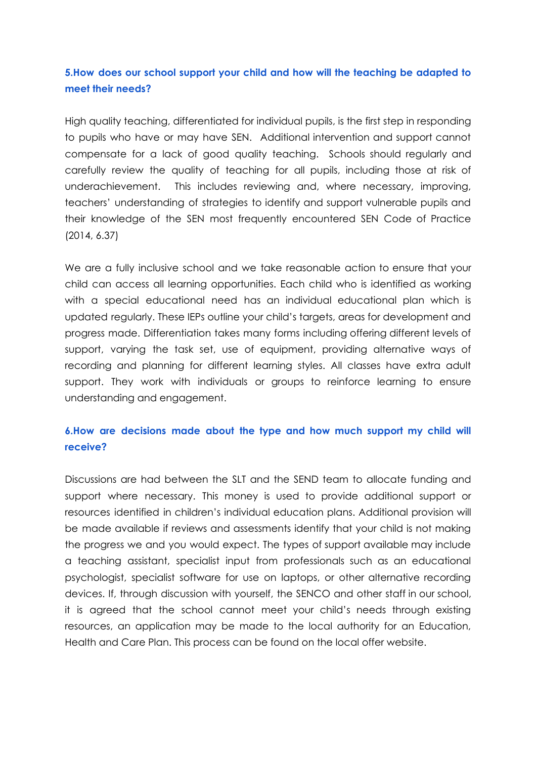## **5.How does our school support your child and how will the teaching be adapted to meet their needs?**

High quality teaching, differentiated for individual pupils, is the first step in responding to pupils who have or may have SEN. Additional intervention and support cannot compensate for a lack of good quality teaching. Schools should regularly and carefully review the quality of teaching for all pupils, including those at risk of underachievement. This includes reviewing and, where necessary, improving, teachers' understanding of strategies to identify and support vulnerable pupils and their knowledge of the SEN most frequently encountered SEN Code of Practice (2014, 6.37)

We are a fully inclusive school and we take reasonable action to ensure that your child can access all learning opportunities. Each child who is identified as working with a special educational need has an individual educational plan which is updated regularly. These IEPs outline your child's targets, areas for development and progress made. Differentiation takes many forms including offering different levels of support, varying the task set, use of equipment, providing alternative ways of recording and planning for different learning styles. All classes have extra adult support. They work with individuals or groups to reinforce learning to ensure understanding and engagement.

## **6.How are decisions made about the type and how much support my child will receive?**

Discussions are had between the SLT and the SEND team to allocate funding and support where necessary. This money is used to provide additional support or resources identified in children's individual education plans. Additional provision will be made available if reviews and assessments identify that your child is not making the progress we and you would expect. The types of support available may include a teaching assistant, specialist input from professionals such as an educational psychologist, specialist software for use on laptops, or other alternative recording devices. If, through discussion with yourself, the SENCO and other staff in our school, it is agreed that the school cannot meet your child's needs through existing resources, an application may be made to the local authority for an Education, Health and Care Plan. This process can be found on the local offer website.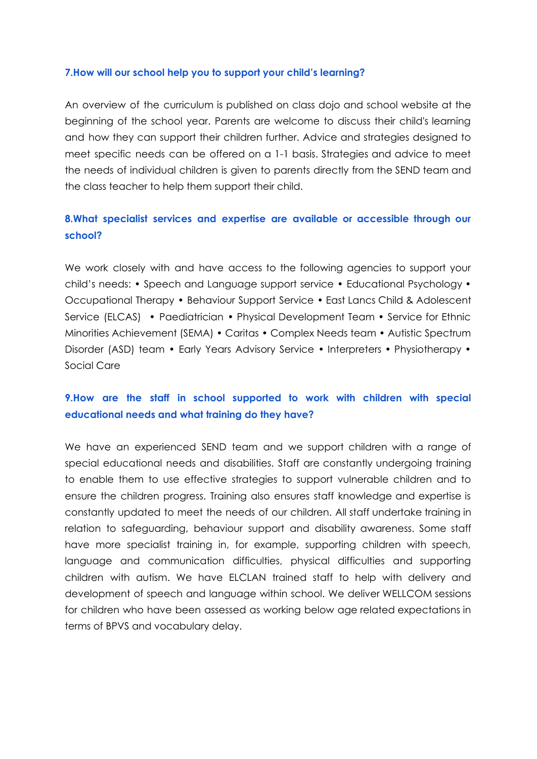#### **7.How will our school help you to support your child's learning?**

An overview of the curriculum is published on class dojo and school website at the beginning of the school year. Parents are welcome to discuss their child's learning and how they can support their children further. Advice and strategies designed to meet specific needs can be offered on a 1-1 basis. Strategies and advice to meet the needs of individual children is given to parents directly from the SEND team and the class teacher to help them support their child.

## **8.What specialist services and expertise are available or accessible through our school?**

We work closely with and have access to the following agencies to support your child's needs: • Speech and Language support service • Educational Psychology • Occupational Therapy • Behaviour Support Service • East Lancs Child & Adolescent Service (ELCAS) • Paediatrician • Physical Development Team • Service for Ethnic Minorities Achievement (SEMA) • Caritas • Complex Needs team • Autistic Spectrum Disorder (ASD) team • Early Years Advisory Service • Interpreters • Physiotherapy • Social Care

### **9.How are the staff in school supported to work with children with special educational needs and what training do they have?**

We have an experienced SEND team and we support children with a range of special educational needs and disabilities. Staff are constantly undergoing training to enable them to use effective strategies to support vulnerable children and to ensure the children progress. Training also ensures staff knowledge and expertise is constantly updated to meet the needs of our children. All staff undertake training in relation to safeguarding, behaviour support and disability awareness. Some staff have more specialist training in, for example, supporting children with speech, language and communication difficulties, physical difficulties and supporting children with autism. We have ELCLAN trained staff to help with delivery and development of speech and language within school. We deliver WELLCOM sessions for children who have been assessed as working below age related expectations in terms of BPVS and vocabulary delay.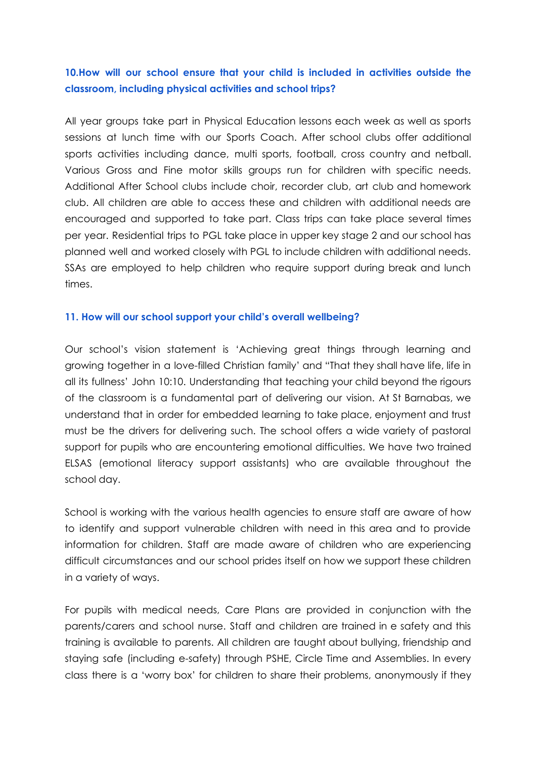## **10.How will our school ensure that your child is included in activities outside the classroom, including physical activities and school trips?**

All year groups take part in Physical Education lessons each week as well as sports sessions at lunch time with our Sports Coach. After school clubs offer additional sports activities including dance, multi sports, football, cross country and netball. Various Gross and Fine motor skills groups run for children with specific needs. Additional After School clubs include choir, recorder club, art club and homework club. All children are able to access these and children with additional needs are encouraged and supported to take part. Class trips can take place several times per year. Residential trips to PGL take place in upper key stage 2 and our school has planned well and worked closely with PGL to include children with additional needs. SSAs are employed to help children who require support during break and lunch times.

#### **11. How will our school support your child's overall wellbeing?**

Our school's vision statement is 'Achieving great things through learning and growing together in a love-filled Christian family' and "That they shall have life, life in all its fullness' John 10:10. Understanding that teaching your child beyond the rigours of the classroom is a fundamental part of delivering our vision. At St Barnabas, we understand that in order for embedded learning to take place, enjoyment and trust must be the drivers for delivering such. The school offers a wide variety of pastoral support for pupils who are encountering emotional difficulties. We have two trained ELSAS (emotional literacy support assistants) who are available throughout the school day.

School is working with the various health agencies to ensure staff are aware of how to identify and support vulnerable children with need in this area and to provide information for children. Staff are made aware of children who are experiencing difficult circumstances and our school prides itself on how we support these children in a variety of ways.

For pupils with medical needs, Care Plans are provided in conjunction with the parents/carers and school nurse. Staff and children are trained in e safety and this training is available to parents. All children are taught about bullying, friendship and staying safe (including e-safety) through PSHE, Circle Time and Assemblies. In every class there is a 'worry box' for children to share their problems, anonymously if they